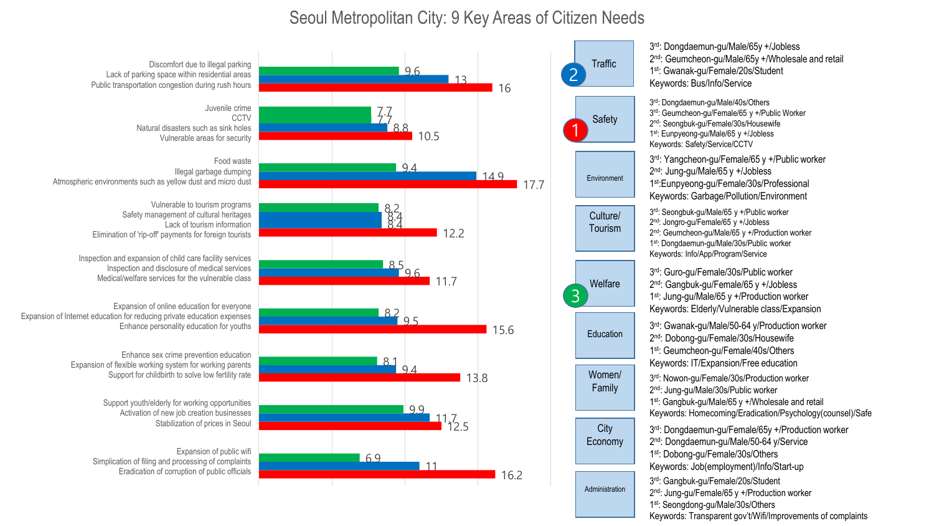## Seoul Metropolitan City: 9 Key Areas of Citizen Needs